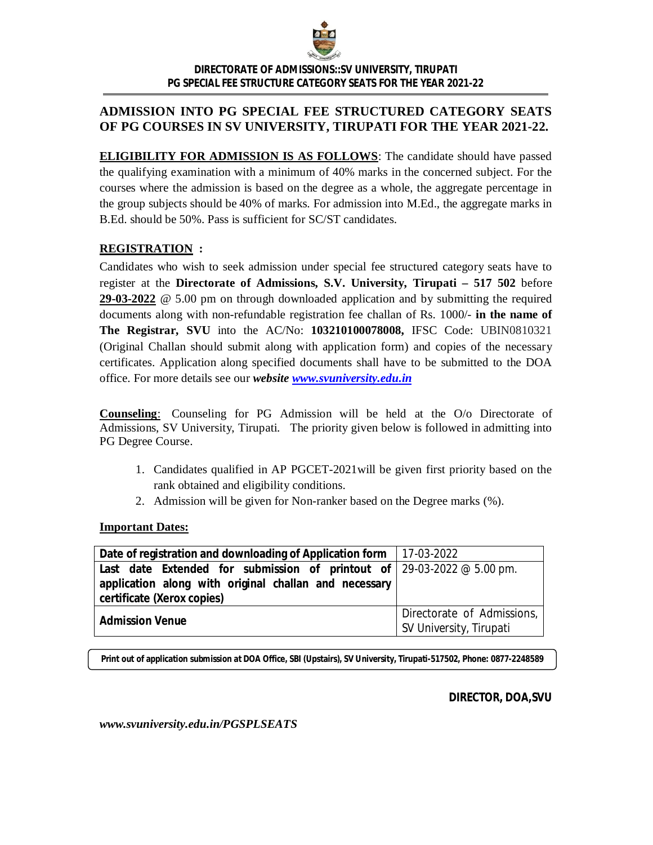

*DIRECTORATE OF ADMISSIONS::SV UNIVERSITY, TIRUPATI PG SPECIAL FEE STRUCTURE CATEGORY SEATS FOR THE YEAR 2021-22*

## **ADMISSION INTO PG SPECIAL FEE STRUCTURED CATEGORY SEATS OF PG COURSES IN SV UNIVERSITY, TIRUPATI FOR THE YEAR 2021-22.**

**ELIGIBILITY FOR ADMISSION IS AS FOLLOWS**: The candidate should have passed the qualifying examination with a minimum of 40% marks in the concerned subject. For the courses where the admission is based on the degree as a whole, the aggregate percentage in the group subjects should be 40% of marks. For admission into M.Ed., the aggregate marks in B.Ed. should be 50%. Pass is sufficient for SC/ST candidates.

## **REGISTRATION :**

Candidates who wish to seek admission under special fee structured category seats have to register at the **Directorate of Admissions, S.V. University, Tirupati – 517 502** before **29-03-2022** @ 5.00 pm on through downloaded application and by submitting the required documents along with non-refundable registration fee challan of Rs. 1000/- **in the name of The Registrar, SVU** into the AC/No: **103210100078008,** IFSC Code: UBIN0810321 (Original Challan should submit along with application form) and copies of the necessary certificates. Application along specified documents shall have to be submitted to the DOA office. For more details see our *website www.svuniversity.edu.in* 

**Counseling**: Counseling for PG Admission will be held at the O/o Directorate of Admissions, SV University, Tirupati. The priority given below is followed in admitting into PG Degree Course.

- 1. Candidates qualified in AP PGCET-2021will be given first priority based on the rank obtained and eligibility conditions.
- 2. Admission will be given for Non-ranker based on the Degree marks (%).

### **Important Dates:**

| <b>Date of registration and downloading of Application form</b> 17-03-2022                                      |                                                       |
|-----------------------------------------------------------------------------------------------------------------|-------------------------------------------------------|
| Last date Extended for submission of printout of $29-03-2022 \text{ } \textcircled{g} 5.00 \text{ } \text{pm}.$ |                                                       |
| application along with original challan and necessary<br>certificate (Xerox copies)                             |                                                       |
| <b>Admission Venue</b>                                                                                          | Directorate of Admissions,<br>SV University, Tirupati |

**Print out of application submission at DOA Office, SBI (Upstairs), SV University, Tirupati-517502, Phone: 0877-2248589**

**DIRECTOR, DOA,SVU**

*www.svuniversity.edu.in/PGSPLSEATS*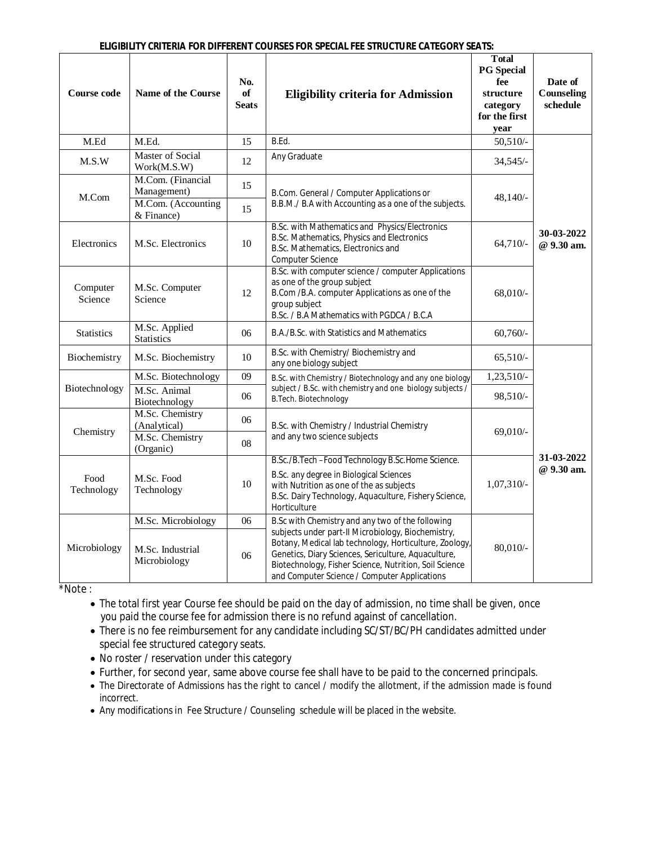| Course code         | Name of the Course                                                                                                                                                                             | No.<br>of<br><b>Seats</b> | <b>Eligibility criteria for Admission</b>                                                                                                                                                                                                                                     | <b>Total</b><br><b>PG</b> Special<br>fee<br>structure<br>category<br>for the first<br>year | Date of<br>Counseling<br>schedule |  |  |
|---------------------|------------------------------------------------------------------------------------------------------------------------------------------------------------------------------------------------|---------------------------|-------------------------------------------------------------------------------------------------------------------------------------------------------------------------------------------------------------------------------------------------------------------------------|--------------------------------------------------------------------------------------------|-----------------------------------|--|--|
| M.Ed                | M.Ed.                                                                                                                                                                                          | 15                        | B.Ed.                                                                                                                                                                                                                                                                         | $50,510/-$                                                                                 |                                   |  |  |
| M.S.W               | <b>Master of Social</b><br>Work(M.S.W)                                                                                                                                                         | 12                        | Any Graduate                                                                                                                                                                                                                                                                  | 34,545/                                                                                    |                                   |  |  |
| M.Com               | M.Com. (Financial<br>Management)                                                                                                                                                               | 15                        | B.Com. General / Computer Applications or                                                                                                                                                                                                                                     | 48,140/-                                                                                   |                                   |  |  |
|                     | M.Com. (Accounting<br>& Finance)                                                                                                                                                               | 15                        | B.B.M./ B.A with Accounting as a one of the subjects.                                                                                                                                                                                                                         |                                                                                            |                                   |  |  |
| Electronics         | M.Sc. Electronics                                                                                                                                                                              | 10                        | B.Sc. with Mathematics and Physics/Electronics<br>B.Sc. Mathematics, Physics and Electronics<br>B.Sc. Mathematics, Electronics and<br>Computer Science                                                                                                                        | $64,710/-$                                                                                 | 30-03-2022<br>@ 9.30 am.          |  |  |
| Computer<br>Science | M.Sc. Computer<br>Science                                                                                                                                                                      | 12                        | B.Sc. with computer science / computer Applications<br>as one of the group subject<br>B.Com /B.A. computer Applications as one of the<br>group subject<br>B.Sc. / B.A Mathematics with PGDCA / B.C.A                                                                          | 68,010/-                                                                                   |                                   |  |  |
| <b>Statistics</b>   | M.Sc. Applied<br><b>Statistics</b>                                                                                                                                                             | 06                        | B.A./B.Sc. with Statistics and Mathematics                                                                                                                                                                                                                                    | $60,760/-$                                                                                 |                                   |  |  |
| Biochemistry        | M.Sc. Biochemistry                                                                                                                                                                             | 10                        | B.Sc. with Chemistry/ Biochemistry and<br>any one biology subject                                                                                                                                                                                                             | $65,510/-$                                                                                 |                                   |  |  |
|                     | M.Sc. Biotechnology                                                                                                                                                                            | 09                        | B.Sc. with Chemistry / Biotechnology and any one biology                                                                                                                                                                                                                      | 1,23,510/-                                                                                 |                                   |  |  |
| Biotechnology       | M.Sc. Animal<br>Biotechnology                                                                                                                                                                  | 06                        | subject / B.Sc. with chemistry and one biology subjects /<br>B.Tech. Biotechnology                                                                                                                                                                                            | 98,510/-                                                                                   |                                   |  |  |
| Chemistry           | M.Sc. Chemistry<br>(Analytical)                                                                                                                                                                | 06                        | B.Sc. with Chemistry / Industrial Chemistry                                                                                                                                                                                                                                   | 69,010/-                                                                                   |                                   |  |  |
|                     | M.Sc. Chemistry<br>(Organic)                                                                                                                                                                   | 08                        | and any two science subjects                                                                                                                                                                                                                                                  |                                                                                            |                                   |  |  |
|                     |                                                                                                                                                                                                |                           | B.Sc./B.Tech-Food Technology B.Sc.Home Science.                                                                                                                                                                                                                               |                                                                                            | 31-03-2022<br>@ 9.30 am.          |  |  |
| Food<br>Technology  | B.Sc. any degree in Biological Sciences<br>M.Sc. Food<br>10<br>with Nutrition as one of the as subjects<br>Technology<br>B.Sc. Dairy Technology, Aquaculture, Fishery Science,<br>Horticulture |                           | 1,07,310/-                                                                                                                                                                                                                                                                    |                                                                                            |                                   |  |  |
|                     | M.Sc. Microbiology                                                                                                                                                                             | 06                        | B.Sc with Chemistry and any two of the following                                                                                                                                                                                                                              |                                                                                            |                                   |  |  |
| Microbiology        | M.Sc. Industrial<br>Microbiology                                                                                                                                                               | 06                        | subjects under part-II Microbiology, Biochemistry,<br>Botany, Medical lab technology, Horticulture, Zoology,<br>Genetics, Diary Sciences, Sericulture, Aquaculture,<br>Biotechnology, Fisher Science, Nutrition, Soil Science<br>and Computer Science / Computer Applications | 80,010/-                                                                                   |                                   |  |  |

\*Note :

 The total first year Course fee should be paid on the day of admission, no time shall be given, once you paid the course fee for admission there is no refund against of cancellation.

 There is no fee reimbursement for any candidate including SC/ST/BC/PH candidates admitted under special fee structured category seats.

- No roster / reservation under this category
- Further, for second year, same above course fee shall have to be paid to the concerned principals.
- The Directorate of Admissions has the right to cancel / modify the allotment, if the admission made is found incorrect.
- Any modifications in Fee Structure / Counseling schedule will be placed in the website.